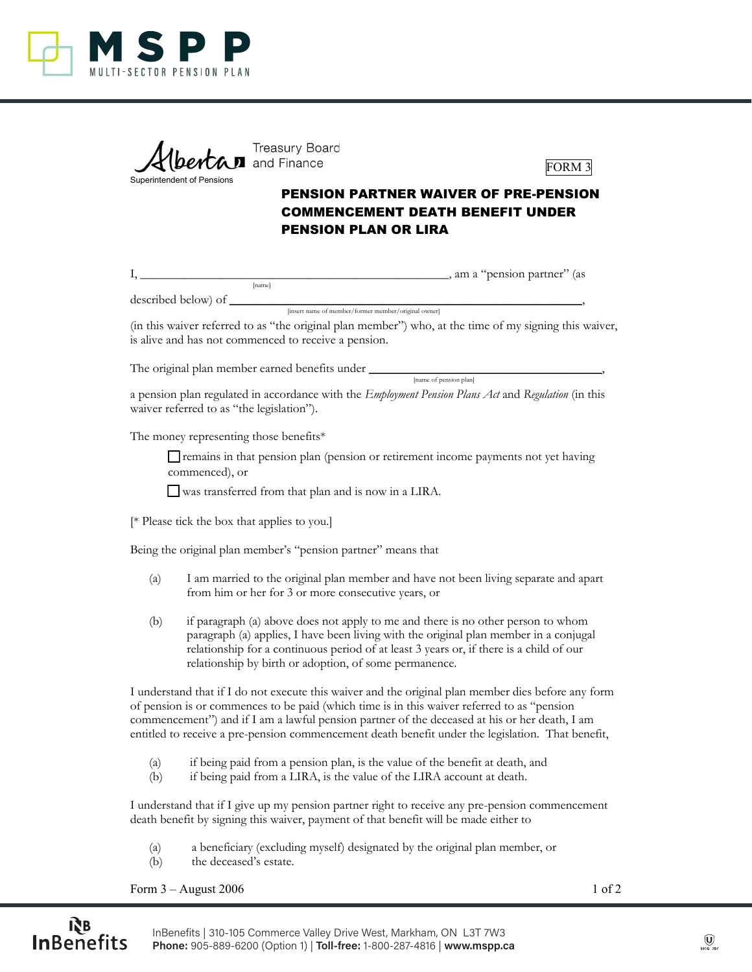

| Albertan and Finance       | <b>Treasury Board</b> |
|----------------------------|-----------------------|
| Superintendent of Pensions |                       |



## PENSION PARTNER WAIVER OF PRE-PENSION COMMENCEMENT DEATH BENEFIT UNDER PENSION PLAN OR LIRA

|                     |        |                                                      | am a "pension partner" (as |  |
|---------------------|--------|------------------------------------------------------|----------------------------|--|
|                     | Inamel |                                                      |                            |  |
| described below) of |        |                                                      |                            |  |
|                     |        | [insert name of member/former member/original owner] |                            |  |

(in this waiver referred to as "the original plan member") who, at the time of my signing this waiver, is alive and has not commenced to receive a pension.

The original plan member earned benefits under \_\_\_\_\_\_\_\_\_\_\_\_\_\_\_\_\_\_\_\_\_\_\_\_\_\_\_\_\_\_\_\_\_\_\_\_\_, [name of pension plan]

a pension plan regulated in accordance with the *Employment Pension Plans Act* and *Regulation* (in this waiver referred to as "the legislation").

The money representing those benefits\*

□ remains in that pension plan (pension or retirement income payments not yet having commenced), or

 $\square$  was transferred from that plan and is now in a LIRA.

[\* Please tick the box that applies to you.]

Being the original plan member's "pension partner" means that

- (a) I am married to the original plan member and have not been living separate and apart from him or her for 3 or more consecutive years, or
- (b) if paragraph (a) above does not apply to me and there is no other person to whom paragraph (a) applies, I have been living with the original plan member in a conjugal relationship for a continuous period of at least 3 years or, if there is a child of our relationship by birth or adoption, of some permanence.

I understand that if I do not execute this waiver and the original plan member dies before any form of pension is or commences to be paid (which time is in this waiver referred to as "pension commencement") and if I am a lawful pension partner of the deceased at his or her death, I am entitled to receive a pre-pension commencement death benefit under the legislation. That benefit,

- (a) if being paid from a pension plan, is the value of the benefit at death, and
- (b) if being paid from a LIRA, is the value of the LIRA account at death.

I understand that if I give up my pension partner right to receive any pre-pension commencement death benefit by signing this waiver, payment of that benefit will be made either to

- (a) a beneficiary (excluding myself) designated by the original plan member, or
- (b) the deceased's estate.

Form  $3 -$  August 2006  $1$  of 2